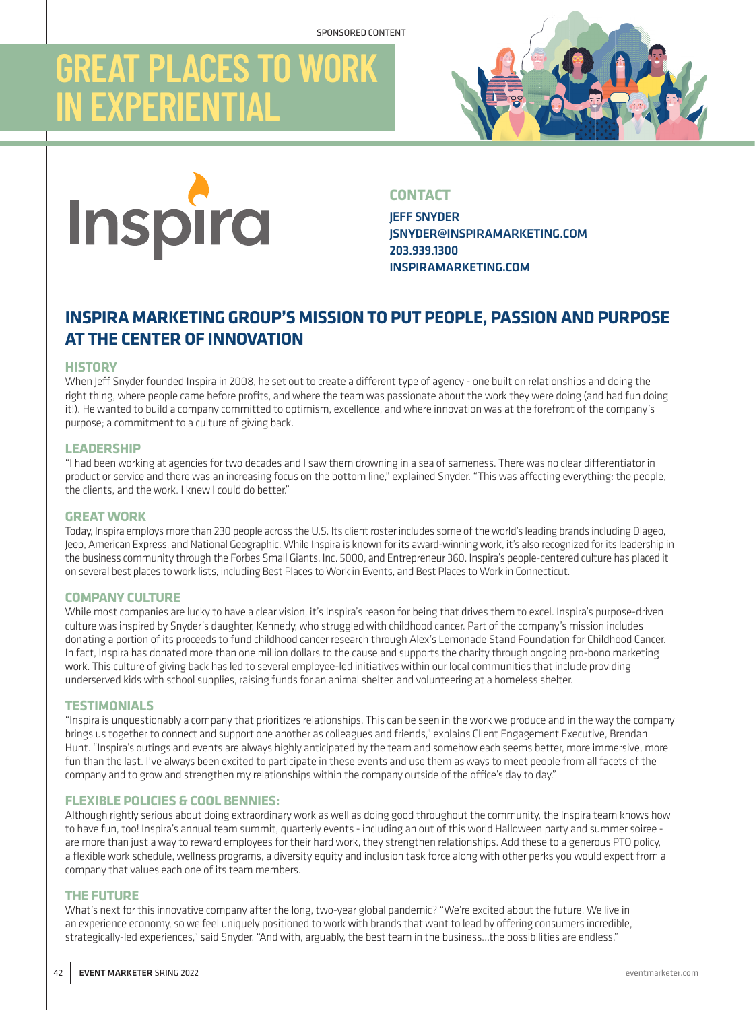## **GREAT PLACES TO WORK IN EXPERIENTIAL**





#### **CONTACT**

JEFF SNYDER JSNYDER@INSPIRAMARKETING.COM 203.939.1300 INSPIRAMARKETING.COM

### **INSPIRA MARKETING GROUP'S MISSION TO PUT PEOPLE, PASSION AND PURPOSE AT THE CENTER OF INNOVATION**

#### **HISTORY**

When Jeff Snyder founded Inspira in 2008, he set out to create a different type of agency - one built on relationships and doing the right thing, where people came before profits, and where the team was passionate about the work they were doing (and had fun doing it!). He wanted to build a company committed to optimism, excellence, and where innovation was at the forefront of the company's purpose; a commitment to a culture of giving back.

#### **LEADERSHIP**

"I had been working at agencies for two decades and I saw them drowning in a sea of sameness. There was no clear differentiator in product or service and there was an increasing focus on the bottom line," explained Snyder. "This was affecting everything: the people, the clients, and the work. I knew I could do better."

#### **GREAT WORK**

Today, Inspira employs more than 230 people across the U.S. Its client roster includes some of the world's leading brands including Diageo, Jeep, American Express, and National Geographic. While Inspira is known for its award-winning work, it's also recognized for its leadership in the business community through the Forbes Small Giants, Inc. 5000, and Entrepreneur 360. Inspira's people-centered culture has placed it on several best places to work lists, including Best Places to Work in Events, and Best Places to Work in Connecticut.

#### **COMPANY CULTURE**

While most companies are lucky to have a clear vision, it's Inspira's reason for being that drives them to excel. Inspira's purpose-driven culture was inspired by Snyder's daughter, Kennedy, who struggled with childhood cancer. Part of the company's mission includes donating a portion of its proceeds to fund childhood cancer research through Alex's Lemonade Stand Foundation for Childhood Cancer. In fact, Inspira has donated more than one million dollars to the cause and supports the charity through ongoing pro-bono marketing work. This culture of giving back has led to several employee-led initiatives within our local communities that include providing underserved kids with school supplies, raising funds for an animal shelter, and volunteering at a homeless shelter.

#### **TESTIMONIALS**

"Inspira is unquestionably a company that prioritizes relationships. This can be seen in the work we produce and in the way the company brings us together to connect and support one another as colleagues and friends," explains Client Engagement Executive, Brendan Hunt. "Inspira's outings and events are always highly anticipated by the team and somehow each seems better, more immersive, more fun than the last. I've always been excited to participate in these events and use them as ways to meet people from all facets of the company and to grow and strengthen my relationships within the company outside of the office's day to day."

#### **FLEXIBLE POLICIES & COOL BENNIES:**

Although rightly serious about doing extraordinary work as well as doing good throughout the community, the Inspira team knows how to have fun, too! Inspira's annual team summit, quarterly events - including an out of this world Halloween party and summer soiree are more than just a way to reward employees for their hard work, they strengthen relationships. Add these to a generous PTO policy, a flexible work schedule, wellness programs, a diversity equity and inclusion task force along with other perks you would expect from a company that values each one of its team members.

#### **THE FUTURE**

What's next for this innovative company after the long, two-year global pandemic? "We're excited about the future. We live in an experience economy, so we feel uniquely positioned to work with brands that want to lead by offering consumers incredible, strategically-led experiences," said Snyder. "And with, arguably, the best team in the business…the possibilities are endless."